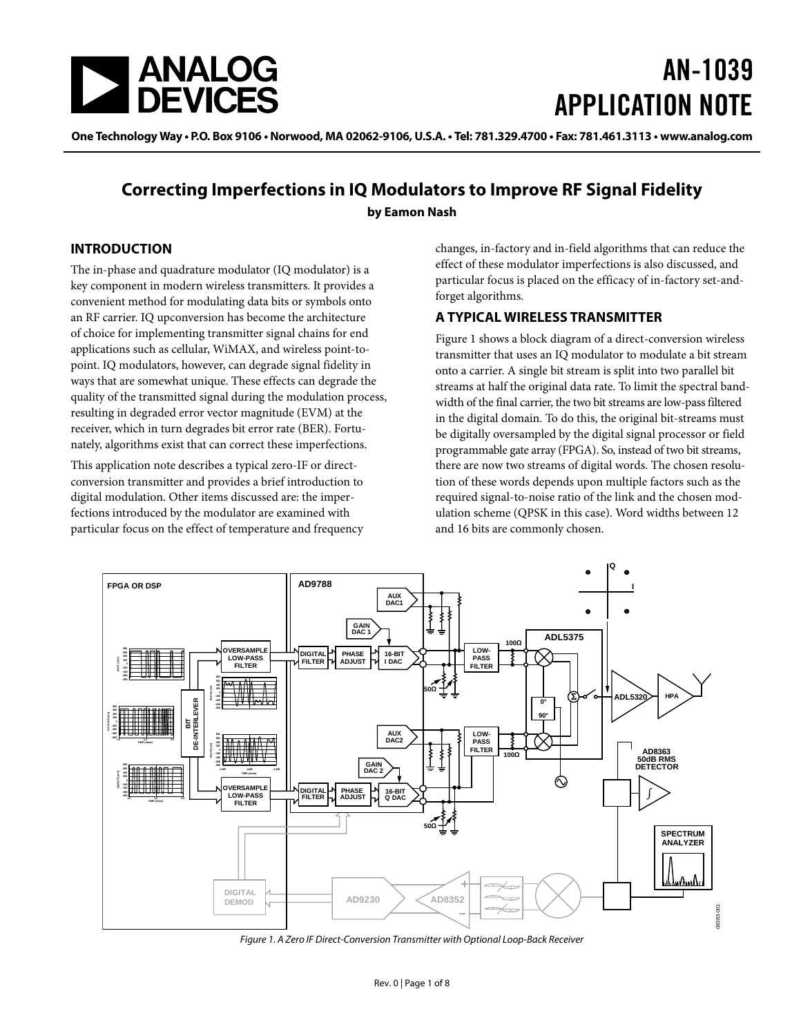<span id="page-0-1"></span>

# AN-1039 APPLICATION NOTE

One Technology Way • P.O. Box 9106 • Norwood, MA 02062-9106, U.S.A. • Tel: 781.329.4700 • Fax: 781.461.3113 • www.analog.com

### **Correcting Imperfections in IQ Modulators to Improve RF Signal Fidelity by Eamon Nash**

### **INTRODUCTION**

The in-phase and quadrature modulator (IQ modulator) is a key component in modern wireless transmitters. It provides a convenient method for modulating data bits or symbols onto an RF carrier. IQ upconversion has become the architecture of choice for implementing transmitter signal chains for end applications such as cellular, WiMAX, and wireless point-topoint. IQ modulators, however, can degrade signal fidelity in ways that are somewhat unique. These effects can degrade the quality of the transmitted signal during the modulation process, resulting in degraded error vector magnitude (EVM) at the receiver, which in turn degrades bit error rate (BER). Fortunately, algorithms exist that can correct these imperfections.

This application note describes a typical zero-IF or directconversion transmitter and provides a brief introduction to digital modulation. Other items discussed are: the imperfections introduced by the modulator are examined with particular focus on the effect of temperature and frequency changes, in-factory and in-field algorithms that can reduce the effect of these modulator imperfections is also discussed, and particular focus is placed on the efficacy of in-factory set-andforget algorithms.

### **A TYPICAL WIRELESS TRANSMITTER**

[Figure 1](#page-0-0) shows a block diagram of a direct-conversion wireless transmitter that uses an IQ modulator to modulate a bit stream onto a carrier. A single bit stream is split into two parallel bit streams at half the original data rate. To limit the spectral bandwidth of the final carrier, the two bit streams are low-pass filtered in the digital domain. To do this, the original bit-streams must be digitally oversampled by the digital signal processor or field programmable gate array (FPGA). So, instead of two bit streams, there are now two streams of digital words. The chosen resolution of these words depends upon multiple factors such as the required signal-to-noise ratio of the link and the chosen modulation scheme (QPSK in this case). Word widths between 12 and 16 bits are commonly chosen.



<span id="page-0-0"></span>Figure 1. A Zero IF Direct-Conversion Transmitter with Optional Loop-Back Receiver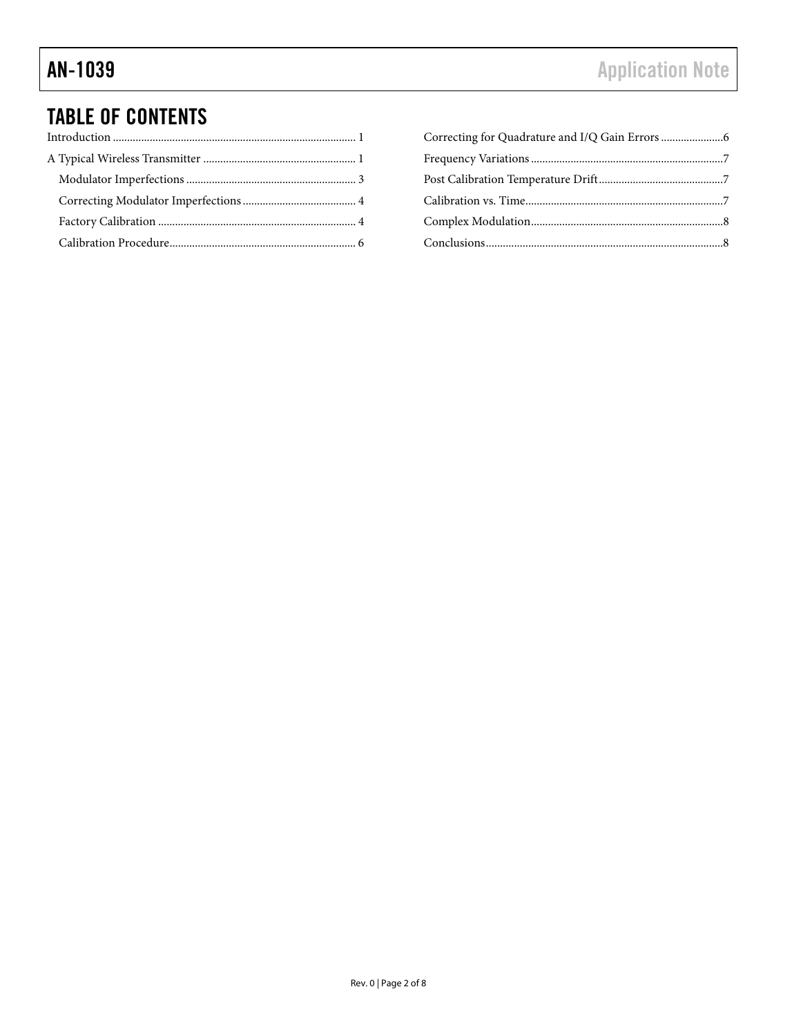## TABLE OF CONTENTS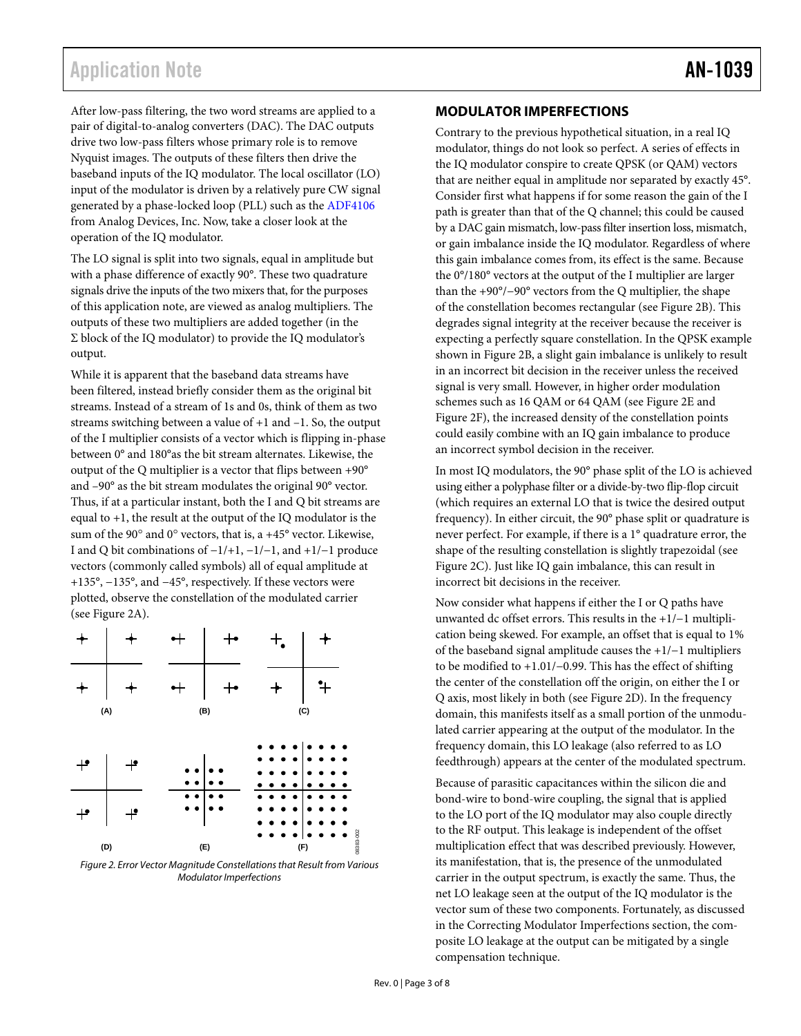### <span id="page-2-0"></span>Application Note **AN-1039**

After low-pass filtering, the two word streams are applied to a pair of digital-to-analog converters (DAC). The DAC outputs drive two low-pass filters whose primary role is to remove Nyquist images. The outputs of these filters then drive the baseband inputs of the IQ modulator. The local oscillator (LO) input of the modulator is driven by a relatively pure CW signal generated by a phase-locked loop (PLL) such as the [ADF4106](http://www.analog.com/ADF4106) from Analog Devices, Inc. Now, take a closer look at the operation of the IQ modulator.

The LO signal is split into two signals, equal in amplitude but with a phase difference of exactly 90°. These two quadrature signals drive the inputs of the two mixers that, for the purposes of this application note, are viewed as analog multipliers. The outputs of these two multipliers are added together (in the Σ block of the IQ modulator) to provide the IQ modulator's output.

While it is apparent that the baseband data streams have been filtered, instead briefly consider them as the original bit streams. Instead of a stream of 1s and 0s, think of them as two streams switching between a value of +1 and –1. So, the output of the I multiplier consists of a vector which is flipping in-phase between 0° and 180°as the bit stream alternates. Likewise, the output of the Q multiplier is a vector that flips between +90° and –90° as the bit stream modulates the original 90° vector. Thus, if at a particular instant, both the I and Q bit streams are equal to +1, the result at the output of the IQ modulator is the sum of the 90° and 0° vectors, that is, a +45° vector. Likewise, I and Q bit combinations of −1/+1, −1/−1, and +1/−1 produce vectors (commonly called symbols) all of equal amplitude at +135°, −135°, and −45°, respectively. If these vectors were plotted, observe the constellation of the modulated carrier (see [Figure 2](#page-2-1)A).



<span id="page-2-1"></span>Figure 2. Error Vector Magnitude Constellations that Result from Various Modulator Imperfections

### **MODULATOR IMPERFECTIONS**

Contrary to the previous hypothetical situation, in a real IQ modulator, things do not look so perfect. A series of effects in the IQ modulator conspire to create QPSK (or QAM) vectors that are neither equal in amplitude nor separated by exactly 45°. Consider first what happens if for some reason the gain of the I path is greater than that of the Q channel; this could be caused by a DAC gain mismatch, low-pass filter insertion loss, mismatch, or gain imbalance inside the IQ modulator. Regardless of where this gain imbalance comes from, its effect is the same. Because the 0°/180° vectors at the output of the I multiplier are larger than the +90°/−90° vectors from the Q multiplier, the shape of the constellation becomes rectangular (see [Figure 2](#page-2-1)B). This degrades signal integrity at the receiver because the receiver is expecting a perfectly square constellation. In the QPSK example shown in [Figure 2](#page-2-1)B, a slight gain imbalance is unlikely to result in an incorrect bit decision in the receiver unless the received signal is very small. However, in higher order modulation schemes such as 16 QAM or 64 QAM (see [Figure 2](#page-2-1)E and [Figure 2](#page-2-1)F), the increased density of the constellation points could easily combine with an IQ gain imbalance to produce an incorrect symbol decision in the receiver.

In most IQ modulators, the 90° phase split of the LO is achieved using either a polyphase filter or a divide-by-two flip-flop circuit (which requires an external LO that is twice the desired output frequency). In either circuit, the 90° phase split or quadrature is never perfect. For example, if there is a 1° quadrature error, the shape of the resulting constellation is slightly trapezoidal (see [Figure 2](#page-2-1)C). Just like IQ gain imbalance, this can result in incorrect bit decisions in the receiver.

Now consider what happens if either the I or Q paths have unwanted dc offset errors. This results in the +1/−1 multiplication being skewed. For example, an offset that is equal to 1% of the baseband signal amplitude causes the +1/−1 multipliers to be modified to +1.01/−0.99. This has the effect of shifting the center of the constellation off the origin, on either the I or Q axis, most likely in both (see [Figure 2](#page-2-1)D). In the frequency domain, this manifests itself as a small portion of the unmodulated carrier appearing at the output of the modulator. In the frequency domain, this LO leakage (also referred to as LO feedthrough) appears at the center of the modulated spectrum.

Because of parasitic capacitances within the silicon die and bond-wire to bond-wire coupling, the signal that is applied to the LO port of the IQ modulator may also couple directly to the RF output. This leakage is independent of the offset multiplication effect that was described previously. However, its manifestation, that is, the presence of the unmodulated carrier in the output spectrum, is exactly the same. Thus, the net LO leakage seen at the output of the IQ modulator is the vector sum of these two components. Fortunately, as discussed in the [Correcting Modulator Imperfections](#page-3-1) section, the composite LO leakage at the output can be mitigated by a single compensation technique.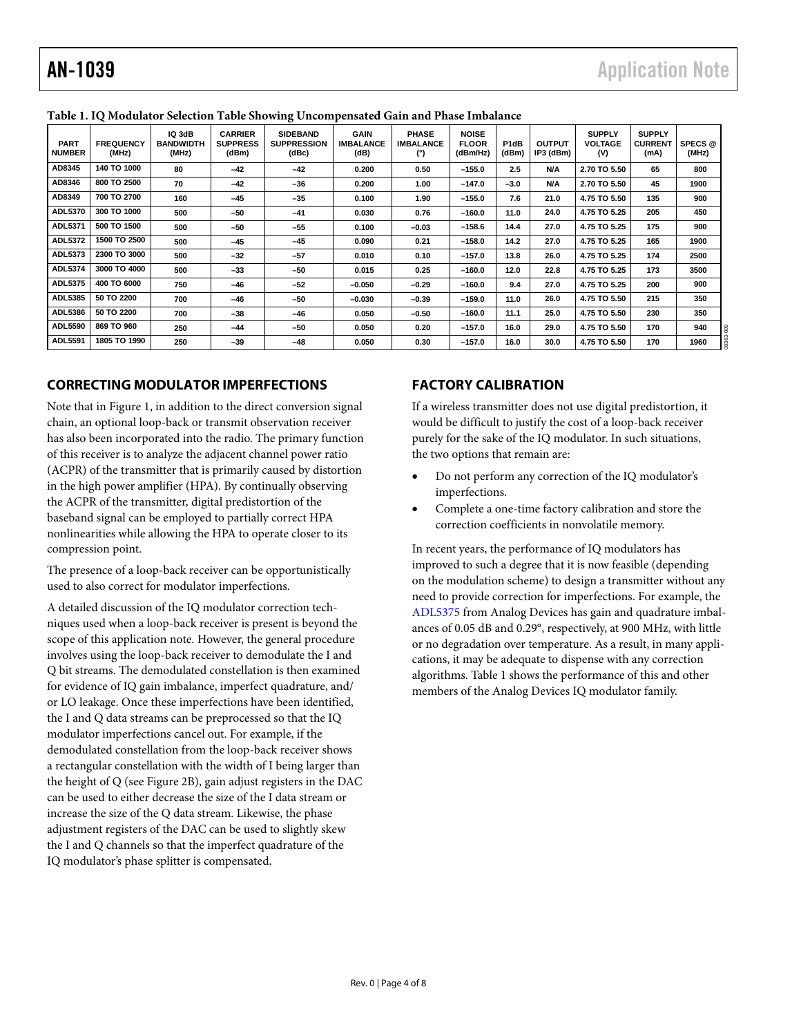| <b>PART</b><br><b>NUMBER</b> | <b>FREQUENCY</b><br>(MHz) | IQ 3dB<br><b>BANDWIDTH</b><br>(MHz) | <b>CARRIER</b><br><b>SUPPRESS</b><br>(dBm) | <b>SIDEBAND</b><br><b>SUPPRESSION</b><br>(dBc) | <b>GAIN</b><br><b>IMBALANCE</b><br>(dB) | <b>PHASE</b><br><b>IMBALANCE</b><br>(°) | <b>NOISE</b><br><b>FLOOR</b><br>(dBm/Hz) | P1dB<br>(dBm) | <b>OUTPUT</b><br>IP3 (dBm) | <b>SUPPLY</b><br><b>VOLTAGE</b><br>(V) | <b>SUPPLY</b><br><b>CURRENT</b><br>(mA) | SPECS @<br>(MHz) |
|------------------------------|---------------------------|-------------------------------------|--------------------------------------------|------------------------------------------------|-----------------------------------------|-----------------------------------------|------------------------------------------|---------------|----------------------------|----------------------------------------|-----------------------------------------|------------------|
| AD8345                       | 140 TO 1000               | 80                                  | $-42$                                      | $-42$                                          | 0.200                                   | 0.50                                    | $-155.0$                                 | 2.5           | N/A                        | 2.70 TO 5.50                           | 65                                      | 800              |
| AD8346                       | 800 TO 2500               | 70                                  | $-42$                                      | $-36$                                          | 0.200                                   | 1.00                                    | $-147.0$                                 | $-3.0$        | N/A                        | 2.70 TO 5.50                           | 45                                      | 1900             |
| AD8349                       | 700 TO 2700               | 160                                 | $-45$                                      | $-35$                                          | 0.100                                   | 1.90                                    | $-155.0$                                 | 7.6           | 21.0                       | 4.75 TO 5.50                           | 135                                     | 900              |
| <b>ADL5370</b>               | 300 TO 1000               | 500                                 | $-50$                                      | $-41$                                          | 0.030                                   | 0.76                                    | $-160.0$                                 | 11.0          | 24.0                       | 4.75 TO 5.25                           | 205                                     | 450              |
| ADL5371                      | 500 TO 1500               | 500                                 | -50                                        | $-55$                                          | 0.100                                   | $-0.03$                                 | $-158.6$                                 | 14.4          | 27.0                       | 4.75 TO 5.25                           | 175                                     | 900              |
| ADL5372                      | 1500 TO 2500              | 500                                 | $-45$                                      | $-45$                                          | 0.090                                   | 0.21                                    | $-158.0$                                 | 14.2          | 27.0                       | 4.75 TO 5.25                           | 165                                     | 1900             |
| ADL5373                      | 2300 TO 3000              | 500                                 | $-32$                                      | $-57$                                          | 0.010                                   | 0.10                                    | $-157.0$                                 | 13.8          | 26.0                       | 4.75 TO 5.25                           | 174                                     | 2500             |
| ADL5374                      | 3000 TO 4000              | 500                                 | $-33$                                      | $-50$                                          | 0.015                                   | 0.25                                    | $-160.0$                                 | 12.0          | 22.8                       | 4.75 TO 5.25                           | 173                                     | 3500             |
| ADL5375                      | 400 TO 6000               | 750                                 | $-46$                                      | $-52$                                          | $-0.050$                                | $-0.29$                                 | $-160.0$                                 | 9.4           | 27.0                       | 4.75 TO 5.25                           | 200                                     | 900              |
| ADL5385                      | 50 TO 2200                | 700                                 | -46                                        | $-50$                                          | $-0.030$                                | $-0.39$                                 | $-159.0$                                 | 11.0          | 26.0                       | 4.75 TO 5.50                           | 215                                     | 350              |
| <b>ADL5386</b>               | 50 TO 2200                | 700                                 | $-38$                                      | $-46$                                          | 0.050                                   | $-0.50$                                 | $-160.0$                                 | 11.1          | 25.0                       | 4.75 TO 5.50                           | 230                                     | 350              |
| <b>ADL5590</b>               | 869 TO 960                | 250                                 | $-44$                                      | $-50$                                          | 0.050                                   | 0.20                                    | $-157.0$                                 | 16.0          | 29.0                       | 4.75 TO 5.50                           | 170                                     | 940              |
| <b>ADL5591</b>               | 1805 TO 1990              | 250                                 | $-39$                                      | $-48$                                          | 0.050                                   | 0.30                                    | $-157.0$                                 | 16.0          | 30.0                       | 4.75 TO 5.50                           | 170                                     | 1960             |

#### <span id="page-3-0"></span>**Table 1. IQ Modulator Selection Table Showing Uncompensated Gain and Phase Imbalance**

### <span id="page-3-1"></span>**CORRECTING MODULATOR IMPERFECTIONS**

Note that in [Figure 1](#page-0-0), in addition to the direct conversion signal chain, an optional loop-back or transmit observation receiver has also been incorporated into the radio. The primary function of this receiver is to analyze the adjacent channel power ratio (ACPR) of the transmitter that is primarily caused by distortion in the high power amplifier (HPA). By continually observing the ACPR of the transmitter, digital predistortion of the baseband signal can be employed to partially correct HPA nonlinearities while allowing the HPA to operate closer to its compression point.

The presence of a loop-back receiver can be opportunistically used to also correct for modulator imperfections.

A detailed discussion of the IQ modulator correction techniques used when a loop-back receiver is present is beyond the scope of this application note. However, the general procedure involves using the loop-back receiver to demodulate the I and Q bit streams. The demodulated constellation is then examined for evidence of IQ gain imbalance, imperfect quadrature, and/ or LO leakage. Once these imperfections have been identified, the I and Q data streams can be preprocessed so that the IQ modulator imperfections cancel out. For example, if the demodulated constellation from the loop-back receiver shows a rectangular constellation with the width of I being larger than the height of Q (see [Figure 2](#page-2-1)B), gain adjust registers in the DAC can be used to either decrease the size of the I data stream or increase the size of the Q data stream. Likewise, the phase adjustment registers of the DAC can be used to slightly skew the I and Q channels so that the imperfect quadrature of the IQ modulator's phase splitter is compensated.

### **FACTORY CALIBRATION**

If a wireless transmitter does not use digital predistortion, it would be difficult to justify the cost of a loop-back receiver purely for the sake of the IQ modulator. In such situations, the two options that remain are:

- Do not perform any correction of the IQ modulator's imperfections.
- Complete a one-time factory calibration and store the correction coefficients in nonvolatile memory.

In recent years, the performance of IQ modulators has improved to such a degree that it is now feasible (depending on the modulation scheme) to design a transmitter without any need to provide correction for imperfections. For example, the [ADL5375](http://www.analog.com/ADL5375) from Analog Devices has gain and quadrature imbalances of 0.05 dB and 0.29°, respectively, at 900 MHz, with little or no degradation over temperature. As a result, in many applications, it may be adequate to dispense with any correction algorithms. Table 1 shows the performance of this and other members of the Analog Devices IQ modulator family.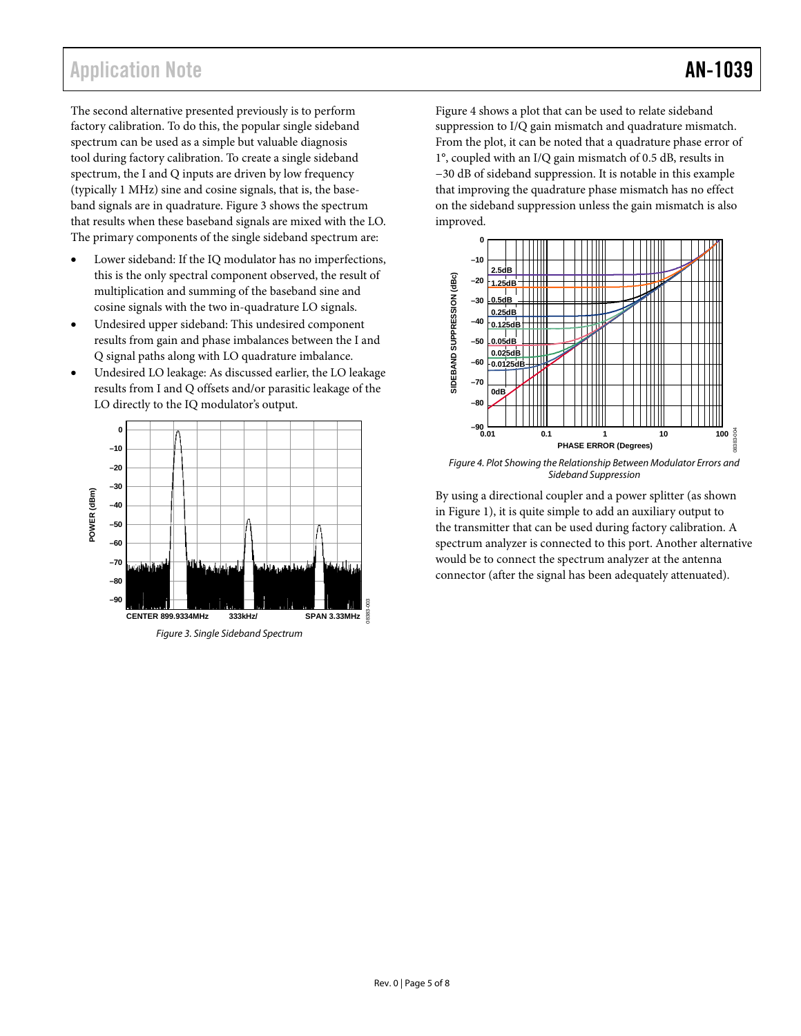### Application Note **AN-1039**

The second alternative presented previously is to perform factory calibration. To do this, the popular single sideband spectrum can be used as a simple but valuable diagnosis tool during factory calibration. To create a single sideband spectrum, the I and Q inputs are driven by low frequency (typically 1 MHz) sine and cosine signals, that is, the baseband signals are in quadrature. [Figure 3](#page-4-0) shows the spectrum that results when these baseband signals are mixed with the LO. The primary components of the single sideband spectrum are:

- Lower sideband: If the IQ modulator has no imperfections, this is the only spectral component observed, the result of multiplication and summing of the baseband sine and cosine signals with the two in-quadrature LO signals.
- Undesired upper sideband: This undesired component results from gain and phase imbalances between the I and Q signal paths along with LO quadrature imbalance.
- Undesired LO leakage: As discussed earlier, the LO leakage results from I and Q offsets and/or parasitic leakage of the LO directly to the IQ modulator's output.

<span id="page-4-1"></span>

<span id="page-4-0"></span>Figure 3. Single Sideband Spectrum

[Figure 4](#page-4-1) shows a plot that can be used to relate sideband suppression to I/Q gain mismatch and quadrature mismatch. From the plot, it can be noted that a quadrature phase error of 1°, coupled with an I/Q gain mismatch of 0.5 dB, results in −30 dB of sideband suppression. It is notable in this example that improving the quadrature phase mismatch has no effect on the sideband suppression unless the gain mismatch is also improved.



Figure 4. Plot Showing the Relationship Between Modulator Errors and Sideband Suppression

By using a directional coupler and a power splitter (as shown in [Figure 1\)](#page-0-0), it is quite simple to add an auxiliary output to the transmitter that can be used during factory calibration. A spectrum analyzer is connected to this port. Another alternative would be to connect the spectrum analyzer at the antenna connector (after the signal has been adequately attenuated).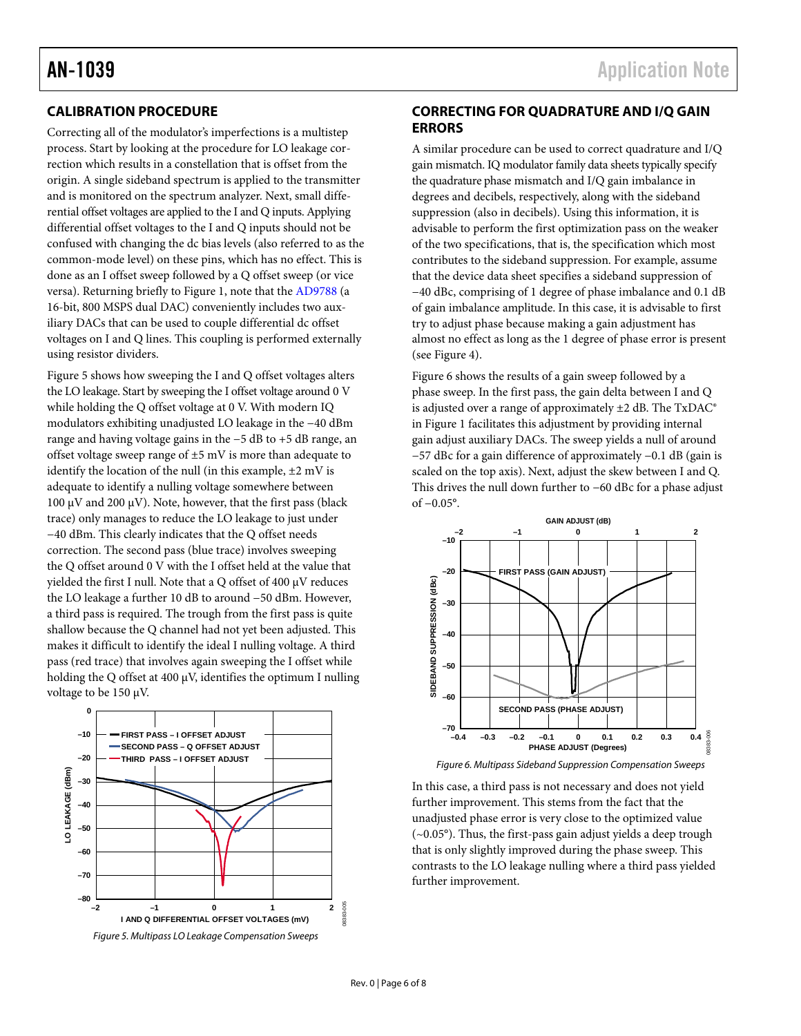### <span id="page-5-0"></span>**CALIBRATION PROCEDURE**

Correcting all of the modulator's imperfections is a multistep process. Start by looking at the procedure for LO leakage correction which results in a constellation that is offset from the origin. A single sideband spectrum is applied to the transmitter and is monitored on the spectrum analyzer. Next, small differential offset voltages are applied to the I and Q inputs. Applying differential offset voltages to the I and Q inputs should not be confused with changing the dc bias levels (also referred to as the common-mode level) on these pins, which has no effect. This is done as an I offset sweep followed by a Q offset sweep (or vice versa). Returning briefly to [Figure 1](#page-0-0), note that the [AD9788](http://www.analog.com/AD9788) (a 16-bit, 800 MSPS dual DAC) conveniently includes two auxiliary DACs that can be used to couple differential dc offset voltages on I and Q lines. This coupling is performed externally using resistor dividers.

[Figure 5](#page-5-1) shows how sweeping the I and Q offset voltages alters the LO leakage. Start by sweeping the I offset voltage around 0 V while holding the Q offset voltage at 0 V. With modern IQ modulators exhibiting unadjusted LO leakage in the −40 dBm range and having voltage gains in the −5 dB to +5 dB range, an offset voltage sweep range of ±5 mV is more than adequate to identify the location of the null (in this example,  $\pm 2$  mV is adequate to identify a nulling voltage somewhere between 100 μV and 200 μV). Note, however, that the first pass (black trace) only manages to reduce the LO leakage to just under −40 dBm. This clearly indicates that the Q offset needs correction. The second pass (blue trace) involves sweeping the Q offset around 0 V with the I offset held at the value that yielded the first I null. Note that a Q offset of 400 μV reduces the LO leakage a further 10 dB to around −50 dBm. However, a third pass is required. The trough from the first pass is quite shallow because the Q channel had not yet been adjusted. This makes it difficult to identify the ideal I nulling voltage. A third pass (red trace) that involves again sweeping the I offset while holding the Q offset at 400 μV, identifies the optimum I nulling voltage to be 150 μV.

<span id="page-5-2"></span><span id="page-5-1"></span>

### **CORRECTING FOR QUADRATURE AND I/Q GAIN ERRORS**

A similar procedure can be used to correct quadrature and I/Q gain mismatch. IQ modulator family data sheets typically specify the quadrature phase mismatch and I/Q gain imbalance in degrees and decibels, respectively, along with the sideband suppression (also in decibels). Using this information, it is advisable to perform the first optimization pass on the weaker of the two specifications, that is, the specification which most contributes to the sideband suppression. For example, assume that the device data sheet specifies a sideband suppression of −40 dBc, comprising of 1 degree of phase imbalance and 0.1 dB of gain imbalance amplitude. In this case, it is advisable to first try to adjust phase because making a gain adjustment has almost no effect as long as the 1 degree of phase error is present (see [Figure 4](#page-4-1)).

[Figure 6](#page-5-2) shows the results of a gain sweep followed by a phase sweep. In the first pass, the gain delta between I and Q is adjusted over a range of approximately  $\pm 2$  dB. The TxDAC® in [Figure 1](#page-0-0) facilitates this adjustment by providing internal gain adjust auxiliary DACs. The sweep yields a null of around −57 dBc for a gain difference of approximately −0.1 dB (gain is scaled on the top axis). Next, adjust the skew between I and Q. This drives the null down further to −60 dBc for a phase adjust of −0.05°.



Figure 6. Multipass Sideband Suppression Compensation Sweeps

In this case, a third pass is not necessary and does not yield further improvement. This stems from the fact that the unadjusted phase error is very close to the optimized value (~0.05°). Thus, the first-pass gain adjust yields a deep trough that is only slightly improved during the phase sweep. This contrasts to the LO leakage nulling where a third pass yielded further improvement.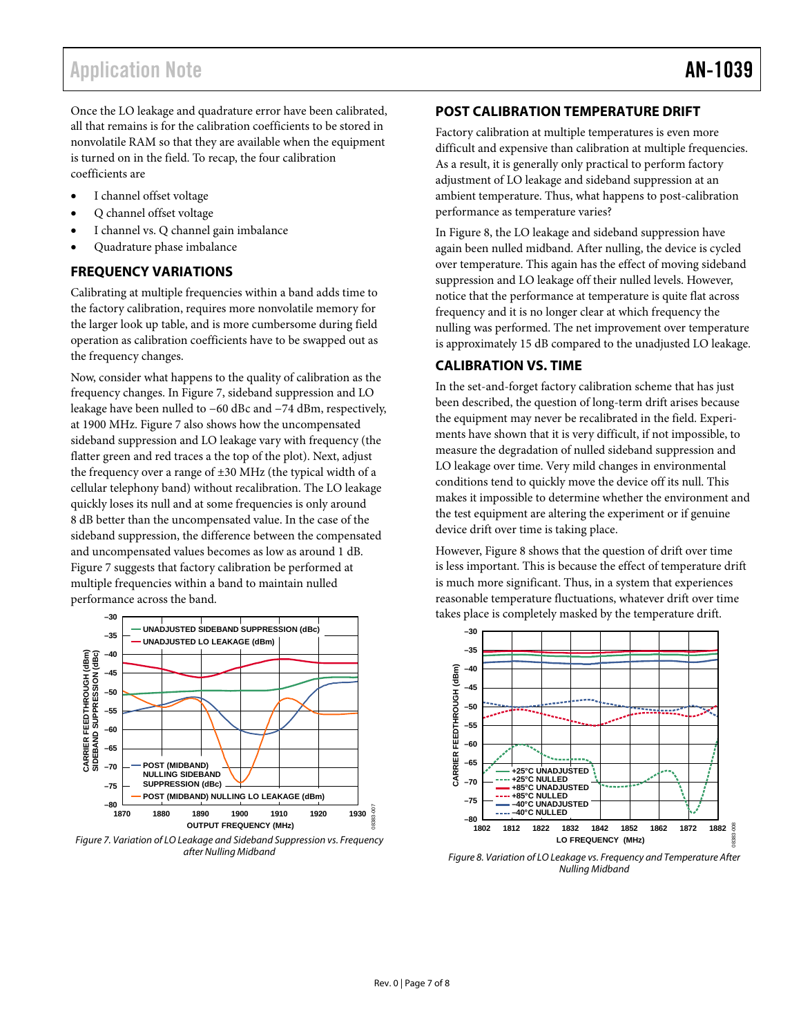### <span id="page-6-1"></span><span id="page-6-0"></span>Application Note **AN-1039**

Once the LO leakage and quadrature error have been calibrated, all that remains is for the calibration coefficients to be stored in nonvolatile RAM so that they are available when the equipment is turned on in the field. To recap, the four calibration coefficients are

- I channel offset voltage
- Q channel offset voltage
- I channel vs. Q channel gain imbalance
- Quadrature phase imbalance

#### **FREQUENCY VARIATIONS**

Calibrating at multiple frequencies within a band adds time to the factory calibration, requires more nonvolatile memory for the larger look up table, and is more cumbersome during field operation as calibration coefficients have to be swapped out as the frequency changes.

Now, consider what happens to the quality of calibration as the frequency changes. In [Figure 7,](#page-6-2) sideband suppression and LO leakage have been nulled to −60 dBc and −74 dBm, respectively, at 1900 MHz. [Figure 7](#page-6-2) also shows how the uncompensated sideband suppression and LO leakage vary with frequency (the flatter green and red traces a the top of the plot). Next, adjust the frequency over a range of  $\pm 30$  MHz (the typical width of a cellular telephony band) without recalibration. The LO leakage quickly loses its null and at some frequencies is only around 8 dB better than the uncompensated value. In the case of the sideband suppression, the difference between the compensated and uncompensated values becomes as low as around 1 dB. [Figure 7](#page-6-2) suggests that factory calibration be performed at multiple frequencies within a band to maintain nulled performance across the band.



<span id="page-6-3"></span><span id="page-6-2"></span>Figure 7. Variation of LO Leakage and Sideband Suppression vs. Frequency after Nulling Midband

#### **POST CALIBRATION TEMPERATURE DRIFT**

Factory calibration at multiple temperatures is even more difficult and expensive than calibration at multiple frequencies. As a result, it is generally only practical to perform factory adjustment of LO leakage and sideband suppression at an ambient temperature. Thus, what happens to post-calibration performance as temperature varies?

In [Figure 8](#page-6-3), the LO leakage and sideband suppression have again been nulled midband. After nulling, the device is cycled over temperature. This again has the effect of moving sideband suppression and LO leakage off their nulled levels. However, notice that the performance at temperature is quite flat across frequency and it is no longer clear at which frequency the nulling was performed. The net improvement over temperature is approximately 15 dB compared to the unadjusted LO leakage.

### **CALIBRATION VS. TIME**

In the set-and-forget factory calibration scheme that has just been described, the question of long-term drift arises because the equipment may never be recalibrated in the field. Experiments have shown that it is very difficult, if not impossible, to measure the degradation of nulled sideband suppression and LO leakage over time. Very mild changes in environmental conditions tend to quickly move the device off its null. This makes it impossible to determine whether the environment and the test equipment are altering the experiment or if genuine device drift over time is taking place.

However, [Figure 8](#page-6-3) shows that the question of drift over time is less important. This is because the effect of temperature drift is much more significant. Thus, in a system that experiences reasonable temperature fluctuations, whatever drift over time takes place is completely masked by the temperature drift.



Figure 8. Variation of LO Leakage vs. Frequency and Temperature After Nulling Midband